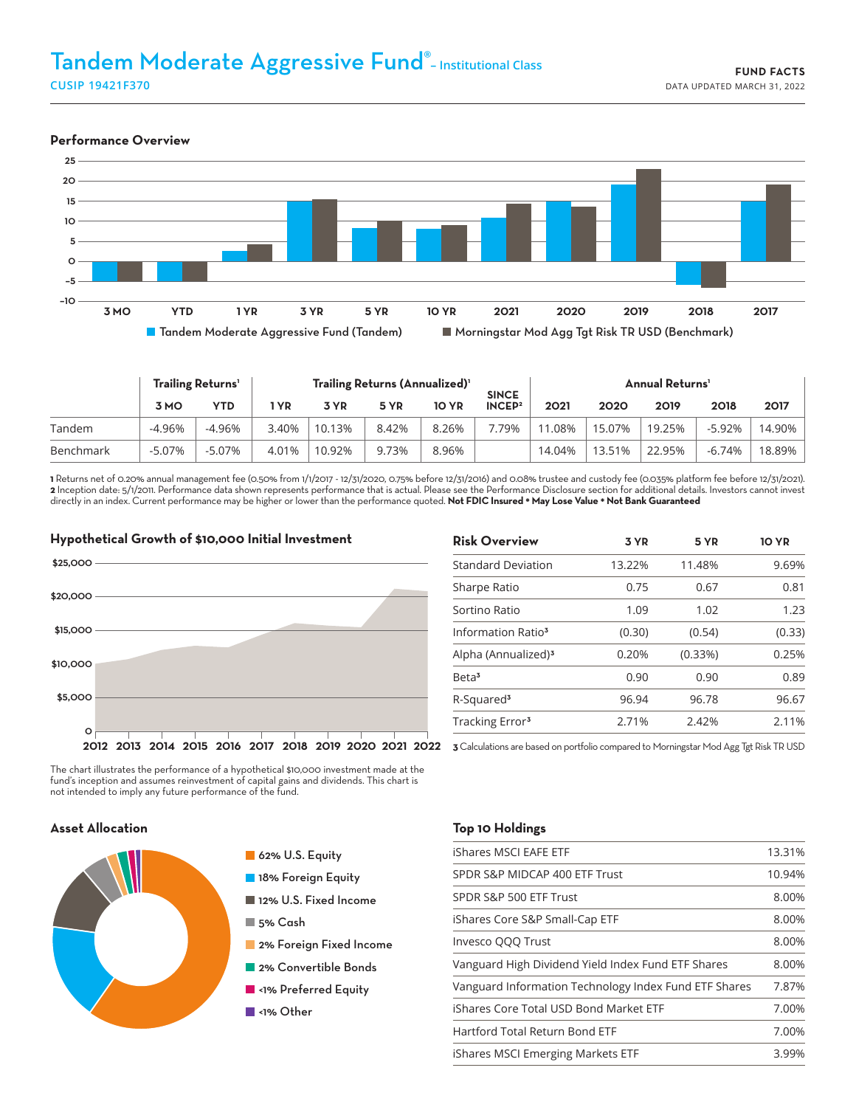# Tandem Moderate Aggressive Fund® **– Institutional Class CUSIP 19421F370**



|           | Trailing Returns' |          | Trailing Returns (Annualized) <sup>1</sup> |        |       |              | <b>SINCE</b>       | <b>Annual Returns'</b> |        |        |        |        |
|-----------|-------------------|----------|--------------------------------------------|--------|-------|--------------|--------------------|------------------------|--------|--------|--------|--------|
|           | 3 MO              | YTD      | ∣ YR                                       | 3 YR   | 5 YR  | <b>10 YR</b> | INCEP <sup>2</sup> | 2021                   | 2020   | 2019   | 2018   | 2017   |
| Tandem    | -4.96%            | -4.96%   | 3.40%                                      | 10.13% | 8.42% | 8.26%        | 7.79%              | 11.08%                 | 15.07% | 19.25% | -5.92% | 14.90% |
| Benchmark | $-5.07%$          | $-5.07%$ | 4.01%                                      | 10.92% | 9.73% | 8.96%        |                    | 14.04%                 | 13.51% | 22.95% | -6.74% | 18.89% |

**1** Returns net of 0.20% annual management fee (0.50% from 1/1/2017 - 12/31/2020, 0.75% before 12/31/2016) and 0.08% trustee and custody fee (0.035% platform fee before 12/31/2021). **2** Inception date: 5/1/2011. Performance data shown represents performance that is actual. Please see the Performance Disclosure section for additional details. Investors cannot invest directly in an index. Current performance may be higher or lower than the performance quoted. **Not FDIC Insured \* May Lose Value \* Not Bank Guaranteed**



| 3 YR   | 5 YR    | <b>10 YR</b> |
|--------|---------|--------------|
| 13.22% | 11.48%  | 9.69%        |
| 0.75   | 0.67    | 0.81         |
| 1.09   | 1.02    | 1.23         |
| (0.30) | (0.54)  | (0.33)       |
| 0.20%  | (0.33%) | 0.25%        |
| 0.90   | 0.90    | 0.89         |
| 96.94  | 96.78   | 96.67        |
| 2.71%  | 2.42%   | 2.11%        |
|        |         |              |

The chart illustrates the performance of a hypothetical \$10,000 investment made at the fund's inception and assumes reinvestment of capital gains and dividends. This chart is not intended to imply any future performance of the fund.

# **Asset Allocation**



62% U.S. Equity

- **18% Foreign Equity**
- 12% U.S. Fixed Income
- 5% Cash
- **2% Foreign Fixed Income**
- **2% Convertible Bonds**
- **N**<1% Preferred Equity
- ■<1% Other

#### **Top 10 Holdings**

| iShares MSCI EAFE ETF                                 | 13.31% |
|-------------------------------------------------------|--------|
| SPDR S&P MIDCAP 400 ETF Trust                         | 10.94% |
| SPDR S&P 500 ETF Trust                                | 8.00%  |
| iShares Core S&P Small-Cap ETF                        | 8.00%  |
| Invesco QQQ Trust                                     | 8.00%  |
| Vanguard High Dividend Yield Index Fund ETF Shares    | 8.00%  |
| Vanguard Information Technology Index Fund ETF Shares | 7.87%  |
| iShares Core Total USD Bond Market ETF                | 7.00%  |
| Hartford Total Return Bond ETF                        | 7.00%  |
| iShares MSCI Emerging Markets ETF                     | 3.99%  |